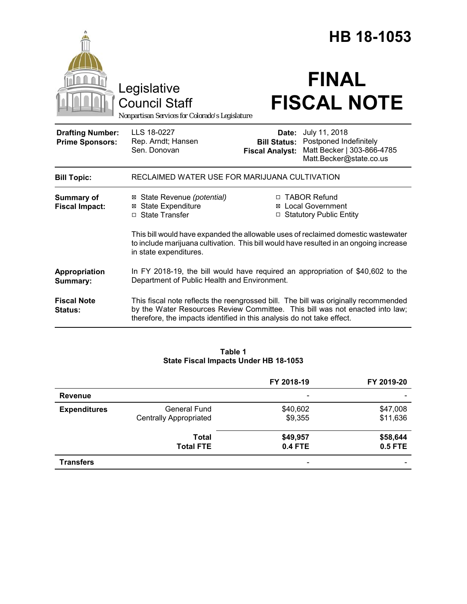|                                                   |                                                                                                                                                                                                                                               |                                                        | HB 18-1053                                                                                       |  |  |
|---------------------------------------------------|-----------------------------------------------------------------------------------------------------------------------------------------------------------------------------------------------------------------------------------------------|--------------------------------------------------------|--------------------------------------------------------------------------------------------------|--|--|
|                                                   | Legislative<br><b>Council Staff</b><br>Nonpartisan Services for Colorado's Legislature                                                                                                                                                        |                                                        | <b>FINAL</b><br><b>FISCAL NOTE</b>                                                               |  |  |
| <b>Drafting Number:</b><br><b>Prime Sponsors:</b> | LLS 18-0227<br>Rep. Arndt; Hansen<br>Sen. Donovan                                                                                                                                                                                             | Date:<br><b>Bill Status:</b><br><b>Fiscal Analyst:</b> | July 11, 2018<br>Postponed Indefinitely<br>Matt Becker   303-866-4785<br>Matt.Becker@state.co.us |  |  |
| <b>Bill Topic:</b>                                | RECLAIMED WATER USE FOR MARIJUANA CULTIVATION                                                                                                                                                                                                 |                                                        |                                                                                                  |  |  |
| <b>Summary of</b><br><b>Fiscal Impact:</b>        | ⊠ State Revenue (potential)<br><b>⊠</b> State Expenditure<br>□ State Transfer                                                                                                                                                                 |                                                        | □ TABOR Refund<br>⊠ Local Government<br>□ Statutory Public Entity                                |  |  |
|                                                   | This bill would have expanded the allowable uses of reclaimed domestic wastewater<br>to include marijuana cultivation. This bill would have resulted in an ongoing increase<br>in state expenditures.                                         |                                                        |                                                                                                  |  |  |
| Appropriation<br>Summary:                         | In FY 2018-19, the bill would have required an appropriation of \$40,602 to the<br>Department of Public Health and Environment.                                                                                                               |                                                        |                                                                                                  |  |  |
| <b>Fiscal Note</b><br>Status:                     | This fiscal note reflects the reengrossed bill. The bill was originally recommended<br>by the Water Resources Review Committee. This bill was not enacted into law;<br>therefore, the impacts identified in this analysis do not take effect. |                                                        |                                                                                                  |  |  |

# **Table 1 State Fiscal Impacts Under HB 18-1053**

|                     |                                                      | FY 2018-19                 | FY 2019-20                 |
|---------------------|------------------------------------------------------|----------------------------|----------------------------|
| <b>Revenue</b>      |                                                      | $\overline{\phantom{a}}$   |                            |
| <b>Expenditures</b> | <b>General Fund</b><br><b>Centrally Appropriated</b> | \$40,602<br>\$9,355        | \$47,008<br>\$11,636       |
|                     | <b>Total</b><br><b>Total FTE</b>                     | \$49,957<br><b>0.4 FTE</b> | \$58,644<br><b>0.5 FTE</b> |
| <b>Transfers</b>    |                                                      | $\overline{\phantom{0}}$   |                            |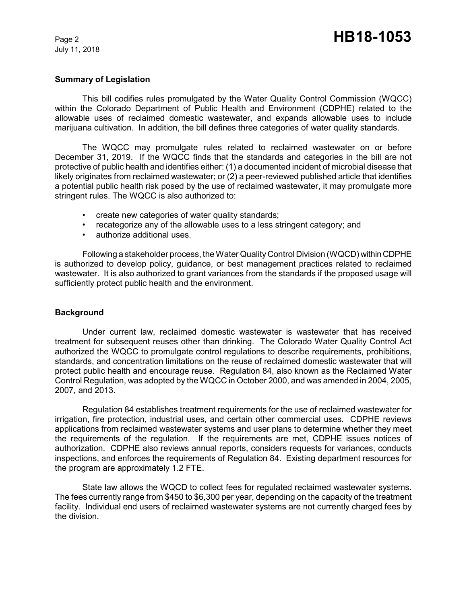July 11, 2018

# **Summary of Legislation**

This bill codifies rules promulgated by the Water Quality Control Commission (WQCC) within the Colorado Department of Public Health and Environment (CDPHE) related to the allowable uses of reclaimed domestic wastewater, and expands allowable uses to include marijuana cultivation. In addition, the bill defines three categories of water quality standards.

The WQCC may promulgate rules related to reclaimed wastewater on or before December 31, 2019. If the WQCC finds that the standards and categories in the bill are not protective of public health and identifies either: (1) a documented incident of microbial disease that likely originates from reclaimed wastewater; or (2) a peer-reviewed published article that identifies a potential public health risk posed by the use of reclaimed wastewater, it may promulgate more stringent rules. The WQCC is also authorized to:

- create new categories of water quality standards;
- recategorize any of the allowable uses to a less stringent category; and
- authorize additional uses.

Following a stakeholder process, the Water Quality Control Division (WQCD) within CDPHE is authorized to develop policy, guidance, or best management practices related to reclaimed wastewater. It is also authorized to grant variances from the standards if the proposed usage will sufficiently protect public health and the environment.

### **Background**

Under current law, reclaimed domestic wastewater is wastewater that has received treatment for subsequent reuses other than drinking. The Colorado Water Quality Control Act authorized the WQCC to promulgate control regulations to describe requirements, prohibitions, standards, and concentration limitations on the reuse of reclaimed domestic wastewater that will protect public health and encourage reuse. Regulation 84, also known as the Reclaimed Water Control Regulation, was adopted by the WQCC in October 2000, and was amended in 2004, 2005, 2007, and 2013.

Regulation 84 establishes treatment requirements for the use of reclaimed wastewater for irrigation, fire protection, industrial uses, and certain other commercial uses. CDPHE reviews applications from reclaimed wastewater systems and user plans to determine whether they meet the requirements of the regulation. If the requirements are met, CDPHE issues notices of authorization. CDPHE also reviews annual reports, considers requests for variances, conducts inspections, and enforces the requirements of Regulation 84. Existing department resources for the program are approximately 1.2 FTE.

State law allows the WQCD to collect fees for regulated reclaimed wastewater systems. The fees currently range from \$450 to \$6,300 per year, depending on the capacity of the treatment facility. Individual end users of reclaimed wastewater systems are not currently charged fees by the division.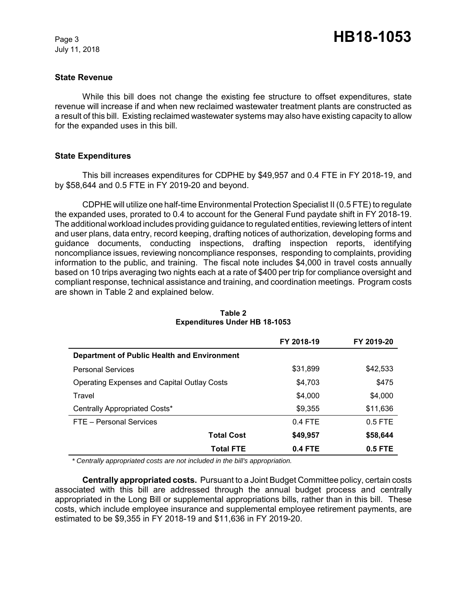July 11, 2018

### **State Revenue**

While this bill does not change the existing fee structure to offset expenditures, state revenue will increase if and when new reclaimed wastewater treatment plants are constructed as a result of this bill. Existing reclaimed wastewater systems may also have existing capacity to allow for the expanded uses in this bill.

### **State Expenditures**

This bill increases expenditures for CDPHE by \$49,957 and 0.4 FTE in FY 2018-19, and by \$58,644 and 0.5 FTE in FY 2019-20 and beyond.

CDPHE will utilize one half-time Environmental Protection Specialist II (0.5 FTE) to regulate the expanded uses, prorated to 0.4 to account for the General Fund paydate shift in FY 2018-19. The additional workload includes providing guidance to regulated entities, reviewing letters of intent and user plans, data entry, record keeping, drafting notices of authorization, developing forms and guidance documents, conducting inspections, drafting inspection reports, identifying noncompliance issues, reviewing noncompliance responses, responding to complaints, providing information to the public, and training. The fiscal note includes \$4,000 in travel costs annually based on 10 trips averaging two nights each at a rate of \$400 per trip for compliance oversight and compliant response, technical assistance and training, and coordination meetings. Program costs are shown in Table 2 and explained below.

|                                                    | FY 2018-19 | FY 2019-20 |
|----------------------------------------------------|------------|------------|
| Department of Public Health and Environment        |            |            |
| <b>Personal Services</b>                           | \$31,899   | \$42,533   |
| <b>Operating Expenses and Capital Outlay Costs</b> | \$4,703    | \$475      |
| Travel                                             | \$4,000    | \$4,000    |
| Centrally Appropriated Costs*                      | \$9,355    | \$11,636   |
| FTE - Personal Services                            | $0.4$ FTE  | $0.5$ FTE  |
| <b>Total Cost</b>                                  | \$49,957   | \$58,644   |
| <b>Total FTE</b>                                   | $0.4$ FTE  | $0.5$ FTE  |

#### **Table 2 Expenditures Under HB 18-1053**

 *\* Centrally appropriated costs are not included in the bill's appropriation.*

**Centrally appropriated costs.** Pursuant to a Joint Budget Committee policy, certain costs associated with this bill are addressed through the annual budget process and centrally appropriated in the Long Bill or supplemental appropriations bills, rather than in this bill. These costs, which include employee insurance and supplemental employee retirement payments, are estimated to be \$9,355 in FY 2018-19 and \$11,636 in FY 2019-20.